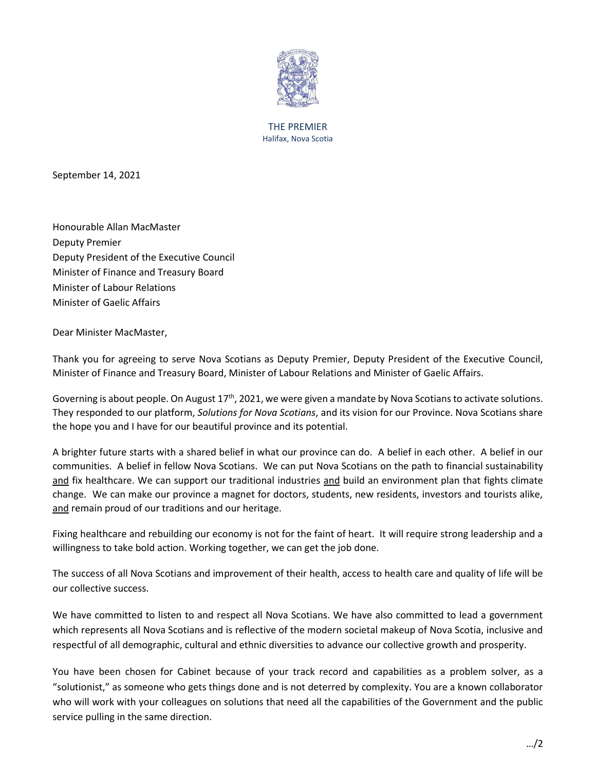

THE PREMIER Halifax, Nova Scotia

September 14, 2021

Honourable Allan MacMaster Deputy Premier Deputy President of the Executive Council Minister of Finance and Treasury Board Minister of Labour Relations Minister of Gaelic Affairs

Dear Minister MacMaster,

Thank you for agreeing to serve Nova Scotians as Deputy Premier, Deputy President of the Executive Council, Minister of Finance and Treasury Board, Minister of Labour Relations and Minister of Gaelic Affairs.

Governing is about people. On August  $17<sup>th</sup>$ , 2021, we were given a mandate by Nova Scotians to activate solutions. They responded to our platform, *Solutions for Nova Scotians*, and its vision for our Province. Nova Scotians share the hope you and I have for our beautiful province and its potential.

A brighter future starts with a shared belief in what our province can do. A belief in each other. A belief in our communities. A belief in fellow Nova Scotians. We can put Nova Scotians on the path to financial sustainability and fix healthcare. We can support our traditional industries and build an environment plan that fights climate change. We can make our province a magnet for doctors, students, new residents, investors and tourists alike, and remain proud of our traditions and our heritage.

Fixing healthcare and rebuilding our economy is not for the faint of heart. It will require strong leadership and a willingness to take bold action. Working together, we can get the job done.

The success of all Nova Scotians and improvement of their health, access to health care and quality of life will be our collective success.

We have committed to listen to and respect all Nova Scotians. We have also committed to lead a government which represents all Nova Scotians and is reflective of the modern societal makeup of Nova Scotia, inclusive and respectful of all demographic, cultural and ethnic diversities to advance our collective growth and prosperity.

You have been chosen for Cabinet because of your track record and capabilities as a problem solver, as a "solutionist," as someone who gets things done and is not deterred by complexity. You are a known collaborator who will work with your colleagues on solutions that need all the capabilities of the Government and the public service pulling in the same direction.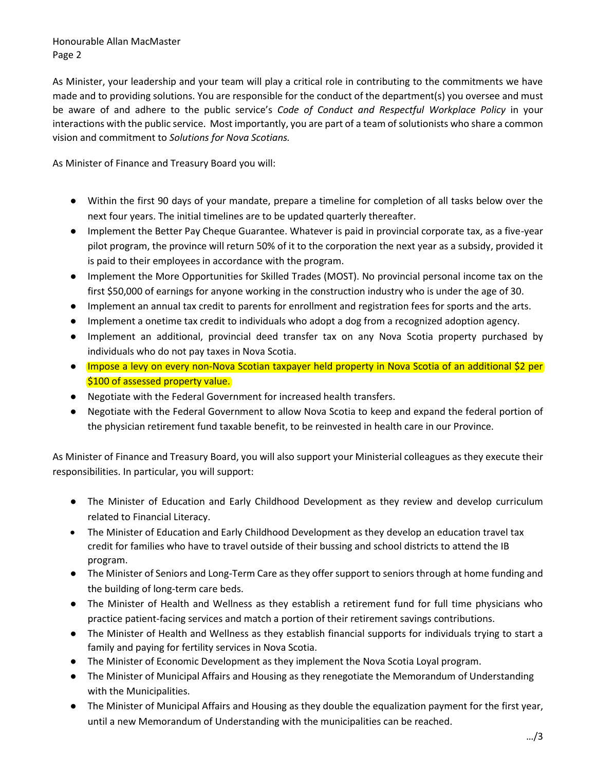Honourable Allan MacMaster Page 2

As Minister, your leadership and your team will play a critical role in contributing to the commitments we have made and to providing solutions. You are responsible for the conduct of the department(s) you oversee and must be aware of and adhere to the public service's *Code of Conduct and Respectful Workplace Policy* in your interactions with the public service. Most importantly, you are part of a team of solutionists who share a common vision and commitment to *Solutions for Nova Scotians.*

As Minister of Finance and Treasury Board you will:

- Within the first 90 days of your mandate, prepare a timeline for completion of all tasks below over the next four years. The initial timelines are to be updated quarterly thereafter.
- Implement the Better Pay Cheque Guarantee. Whatever is paid in provincial corporate tax, as a five-year pilot program, the province will return 50% of it to the corporation the next year as a subsidy, provided it is paid to their employees in accordance with the program.
- Implement the More Opportunities for Skilled Trades (MOST). No provincial personal income tax on the first \$50,000 of earnings for anyone working in the construction industry who is under the age of 30.
- Implement an annual tax credit to parents for enrollment and registration fees for sports and the arts.
- Implement a onetime tax credit to individuals who adopt a dog from a recognized adoption agency.
- Implement an additional, provincial deed transfer tax on any Nova Scotia property purchased by individuals who do not pay taxes in Nova Scotia.
- Impose a levy on every non-Nova Scotian taxpayer held property in Nova Scotia of an additional \$2 per \$100 of assessed property value.
- Negotiate with the Federal Government for increased health transfers.
- Negotiate with the Federal Government to allow Nova Scotia to keep and expand the federal portion of the physician retirement fund taxable benefit, to be reinvested in health care in our Province.

As Minister of Finance and Treasury Board, you will also support your Ministerial colleagues as they execute their responsibilities. In particular, you will support:

- The Minister of Education and Early Childhood Development as they review and develop curriculum related to Financial Literacy.
- The Minister of Education and Early Childhood Development as they develop an education travel tax credit for families who have to travel outside of their bussing and school districts to attend the IB program.
- The Minister of Seniors and Long-Term Care as they offer support to seniors through at home funding and the building of long-term care beds.
- The Minister of Health and Wellness as they establish a retirement fund for full time physicians who practice patient-facing services and match a portion of their retirement savings contributions.
- The Minister of Health and Wellness as they establish financial supports for individuals trying to start a family and paying for fertility services in Nova Scotia.
- The Minister of Economic Development as they implement the Nova Scotia Loyal program.
- The Minister of Municipal Affairs and Housing as they renegotiate the Memorandum of Understanding with the Municipalities.
- The Minister of Municipal Affairs and Housing as they double the equalization payment for the first year, until a new Memorandum of Understanding with the municipalities can be reached.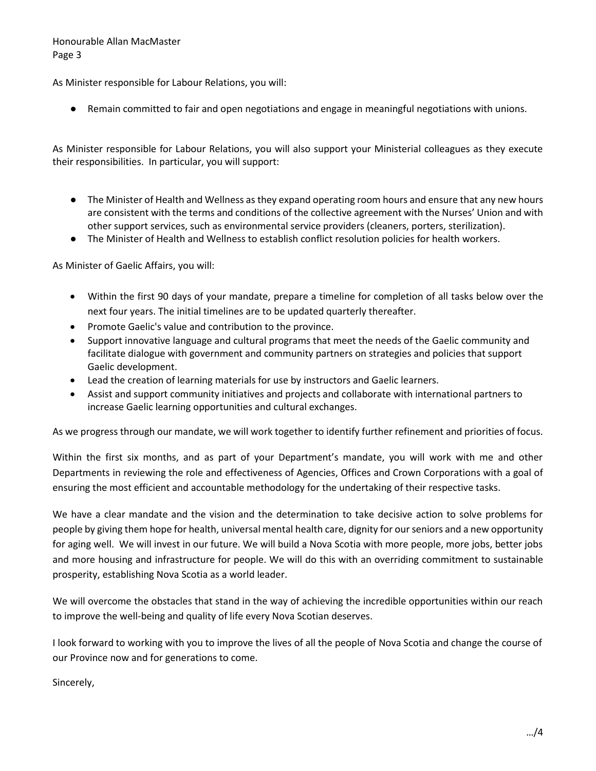## Honourable Allan MacMaster Page 3

As Minister responsible for Labour Relations, you will:

● Remain committed to fair and open negotiations and engage in meaningful negotiations with unions.

As Minister responsible for Labour Relations, you will also support your Ministerial colleagues as they execute their responsibilities. In particular, you will support:

- The Minister of Health and Wellness as they expand operating room hours and ensure that any new hours are consistent with the terms and conditions of the collective agreement with the Nurses' Union and with other support services, such as environmental service providers (cleaners, porters, sterilization).
- The Minister of Health and Wellness to establish conflict resolution policies for health workers.

As Minister of Gaelic Affairs, you will:

- Within the first 90 days of your mandate, prepare a timeline for completion of all tasks below over the next four years. The initial timelines are to be updated quarterly thereafter.
- Promote Gaelic's value and contribution to the province.
- Support innovative language and cultural programs that meet the needs of the Gaelic community and facilitate dialogue with government and community partners on strategies and policies that support Gaelic development.
- Lead the creation of learning materials for use by instructors and Gaelic learners.
- Assist and support community initiatives and projects and collaborate with international partners to increase Gaelic learning opportunities and cultural exchanges.

As we progress through our mandate, we will work together to identify further refinement and priorities of focus.

Within the first six months, and as part of your Department's mandate, you will work with me and other Departments in reviewing the role and effectiveness of Agencies, Offices and Crown Corporations with a goal of ensuring the most efficient and accountable methodology for the undertaking of their respective tasks.

We have a clear mandate and the vision and the determination to take decisive action to solve problems for people by giving them hope for health, universal mental health care, dignity for our seniors and a new opportunity for aging well. We will invest in our future. We will build a Nova Scotia with more people, more jobs, better jobs and more housing and infrastructure for people. We will do this with an overriding commitment to sustainable prosperity, establishing Nova Scotia as a world leader.

We will overcome the obstacles that stand in the way of achieving the incredible opportunities within our reach to improve the well-being and quality of life every Nova Scotian deserves.

I look forward to working with you to improve the lives of all the people of Nova Scotia and change the course of our Province now and for generations to come.

Sincerely,